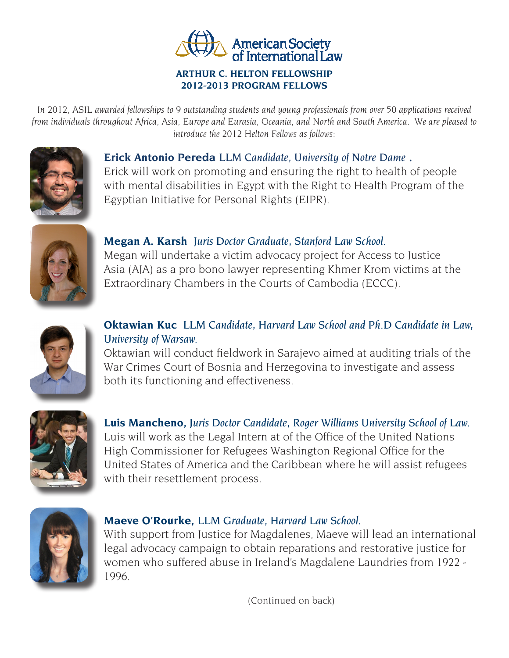

#### **ARTHUR C. HELTON FELLOWSHIP 2012-2013 PROGRAM FELLOWS**

*In 2012, ASIL awarded fellowships to 9 outstanding students and young professionals from over 50 applications received from individuals throughout Africa, Asia, Europe and Eurasia, Oceania, and North and South America. We are pleased to introduce the 2012 Helton Fellows as follows:*



### **Erick Antonio Pereda** *LLM Candidate, University of Notre Dame .*

Erick will work on promoting and ensuring the right to health of people with mental disabilities in Egypt with the Right to Health Program of the Egyptian Initiative for Personal Rights (EIPR).



## **Megan A. Karsh** *Juris Doctor Graduate, Stanford Law School.*

Megan will undertake a victim advocacy project for Access to Justice Asia (AJA) as a pro bono lawyer representing Khmer Krom victims at the Extraordinary Chambers in the Courts of Cambodia (ECCC).



# **Oktawian Kuc** *LLM Candidate, Harvard Law School and Ph.D Candidate in Law, University of Warsaw.*

Oktawian will conduct fieldwork in Sarajevo aimed at auditing trials of the War Crimes Court of Bosnia and Herzegovina to investigate and assess both its functioning and effectiveness.



**Luis Mancheno***, Juris Doctor Candidate, Roger Williams University School of Law.* Luis will work as the Legal Intern at of the Office of the United Nations High Commissioner for Refugees Washington Regional Office for the United States of America and the Caribbean where he will assist refugees with their resettlement process.



### **Maeve O'Rourke***, LLM Graduate, Harvard Law School.*

With support from Justice for Magdalenes, Maeve will lead an international legal advocacy campaign to obtain reparations and restorative justice for women who suffered abuse in Ireland's Magdalene Laundries from 1922 - 1996.

(Continued on back)